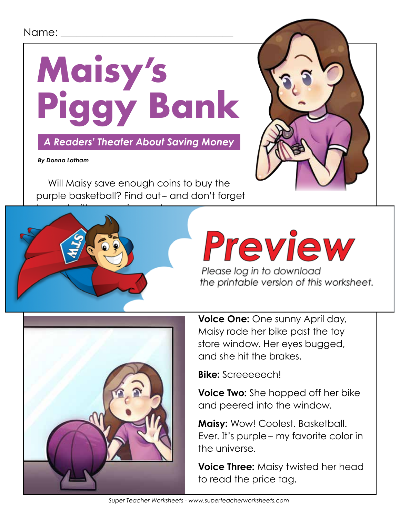### Name: \_\_\_\_\_\_\_\_\_\_\_\_\_\_\_\_\_\_\_\_\_\_\_\_\_\_\_\_\_\_\_\_\_



 *A Readers' Theater About Saving Money*

 *By Donna Latham*

Will Maisy save enough coins to buy the purple basketball? Find out- and don't forget





# Preview

Please log in to download



**Voice One:** One sunny April day, Maisy rode her bike past the toy store window. Her eyes bugged, and she hit the brakes.

**Bike:** Screeeeech!

**Voice Two:** She hopped off her bike and peered into the window.

**Maisy:** Wow! Coolest. Basketball. Ever. It's purple-- my favorite color in the universe.

**Voice Three:** Maisy twisted her head to read the price tag.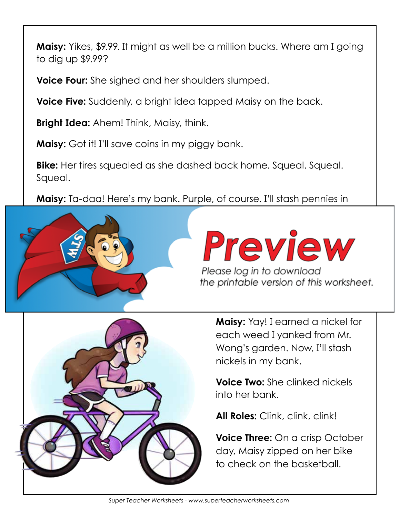**Maisy:** Yikes, \$9.99. It might as well be a million bucks. Where am I going to dig up \$9.99?

**Voice Four:** She sighed and her shoulders slumped.

**Voice Five:** Suddenly, a bright idea tapped Maisy on the back.

**Bright Idea:** Ahem! Think, Maisy, think.

**Maisy:** Got it! I'll save coins in my piggy bank.

**Bike:** Her tires squealed as she dashed back home. Squeal. Squeal. Squeal.

**Maisy:** Ta-daa! Here's my bank. Purple, of course. I'll stash pennies in



Preview Please log in to download

the printable version of this worksheet.



**Maisy:** Yay! I earned a nickel for each weed I yanked from Mr. Wong's garden. Now, I'll stash nickels in my bank.

**Voice Two:** She clinked nickels into her bank.

**All Roles:** Clink, clink, clink!

**Voice Three:** On a crisp October day, Maisy zipped on her bike to check on the basketball.

*Super Teacher Worksheets - www.superteacherworksheets.com*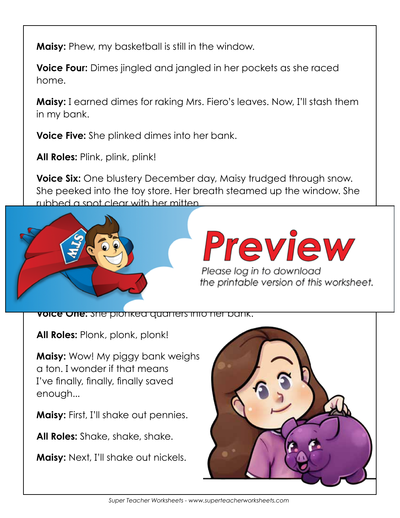**Maisy:** Phew, my basketball is still in the window.

**Voice Four:** Dimes jingled and jangled in her pockets as she raced home.

**Maisy:** I earned dimes for raking Mrs. Fiero's leaves. Now, I'll stash them in my bank.

**Voice Five:** She plinked dimes into her bank.

**All Roles:** Plink, plink, plink!

**Voice Six:** One blustery December day, Maisy trudged through snow. She peeked into the toy store. Her breath steamed up the window. She rubbed a spot clear with her mitten.



## Preview

Please log in to download the printable version of this worksheet.

**Voice One:** She plonked quarters into her bank.

**All Roles:** Plonk, plonk, plonk!

**Maisy:** Wow! My piggy bank weighs a ton. I wonder if that means I've finally, finally, finally saved enough...

**Maisy:** First, I'll shake out pennies.

**All Roles:** Shake, shake, shake.

**Maisy:** Next, I'll shake out nickels.



*Super Teacher Worksheets - www.superteacherworksheets.com*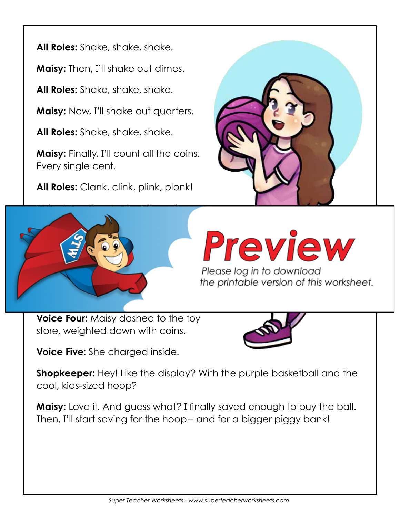**All Roles:** Shake, shake, shake.

**Maisy:** Then, I'll shake out dimes.

**All Roles:** Shake, shake, shake.

**Maisy:** Now, I'll shake out quarters.

**All Roles:** Shake, shake, shake.

**Maisy:** Finally, I'll count all the coins. Every single cent.

**All Roles:** Clank, clink, plink, plonk!





the printable version of this worksheet.

**Voice Four:** Maisy dashed to the toy store, weighted down with coins.

**Voice Five:** She charged inside.



**Shopkeeper:** Hey! Like the display? With the purple basketball and the cool, kids-sized hoop?

**Maisy:** Love it. And guess what? I finally saved enough to buy the ball. Then, I'll start saving for the hoop- and for a bigger piggy bank!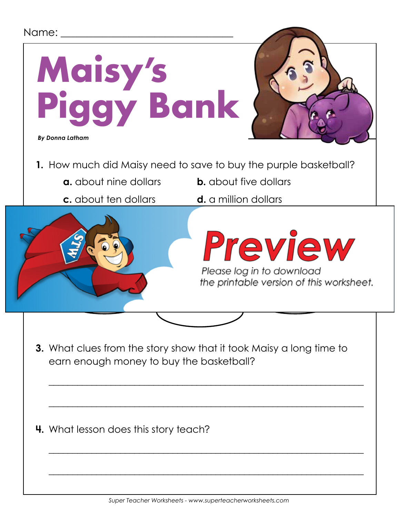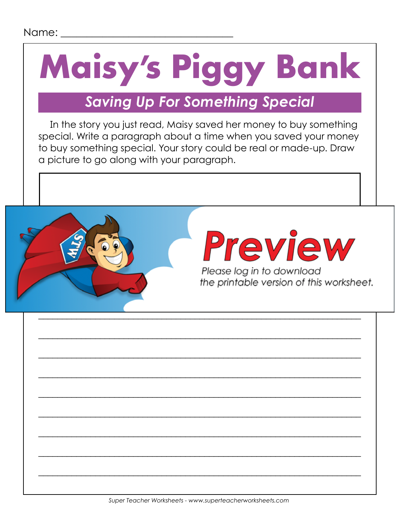# **Maisy's Piggy Bank**

## *Saving Up For Something Special*

In the story you just read, Maisy saved her money to buy something special. Write a paragraph about a time when you saved your money to buy something special. Your story could be real or made-up. Draw a picture to go along with your paragraph.